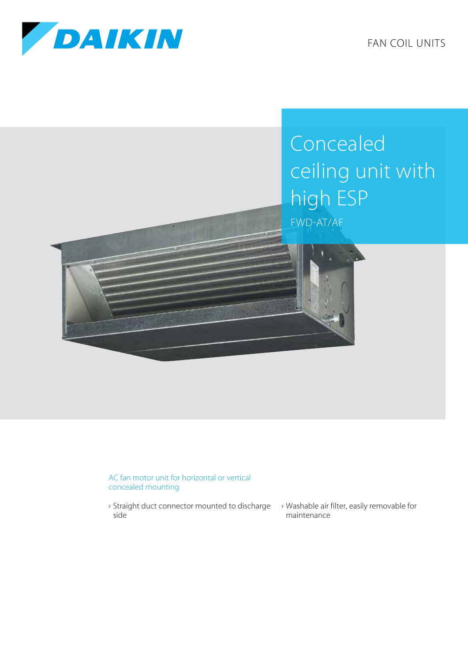

FAN COIL UNITS

## Concealed ceiling unit with high ESP FWD-AT/AF

## AC fan motor unit for horizontal or vertical concealed mounting

- › Straight duct connector mounted to discharge › Washable air filter, easily removable for side
- maintenance